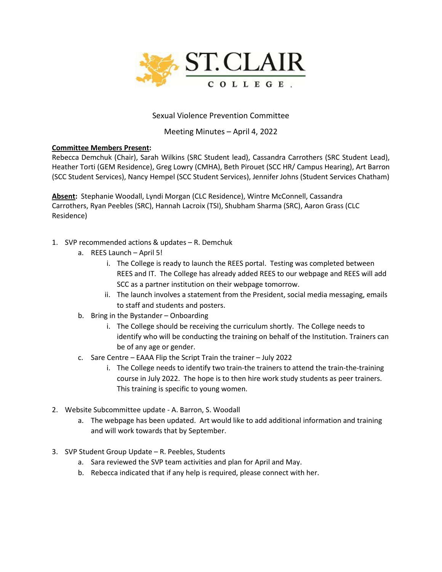

## Sexual Violence Prevention Committee

## Meeting Minutes – April 4, 2022

## **Committee Members Present:**

Rebecca Demchuk (Chair), Sarah Wilkins (SRC Student lead), Cassandra Carrothers (SRC Student Lead), Heather Torti (GEM Residence), Greg Lowry (CMHA), Beth Pirouet (SCC HR/ Campus Hearing), Art Barron (SCC Student Services), Nancy Hempel (SCC Student Services), Jennifer Johns (Student Services Chatham)

**Absent:** Stephanie Woodall, Lyndi Morgan (CLC Residence), Wintre McConnell, Cassandra Carrothers, Ryan Peebles (SRC), Hannah Lacroix (TSI), Shubham Sharma (SRC), Aaron Grass (CLC Residence)

- 1. SVP recommended actions & updates R. Demchuk
	- a. REES Launch April 5!
		- i. The College is ready to launch the REES portal. Testing was completed between REES and IT. The College has already added REES to our webpage and REES will add SCC as a partner institution on their webpage tomorrow.
		- ii. The launch involves a statement from the President, social media messaging, emails to staff and students and posters.
	- b. Bring in the Bystander Onboarding
		- i. The College should be receiving the curriculum shortly. The College needs to identify who will be conducting the training on behalf of the Institution. Trainers can be of any age or gender.
	- c. Sare Centre EAAA Flip the Script Train the trainer July 2022
		- i. The College needs to identify two train-the trainers to attend the train-the-training course in July 2022. The hope is to then hire work study students as peer trainers. This training is specific to young women.
- 2. Website Subcommittee update A. Barron, S. Woodall
	- a. The webpage has been updated. Art would like to add additional information and training and will work towards that by September.
- 3. SVP Student Group Update R. Peebles, Students
	- a. Sara reviewed the SVP team activities and plan for April and May.
	- b. Rebecca indicated that if any help is required, please connect with her.